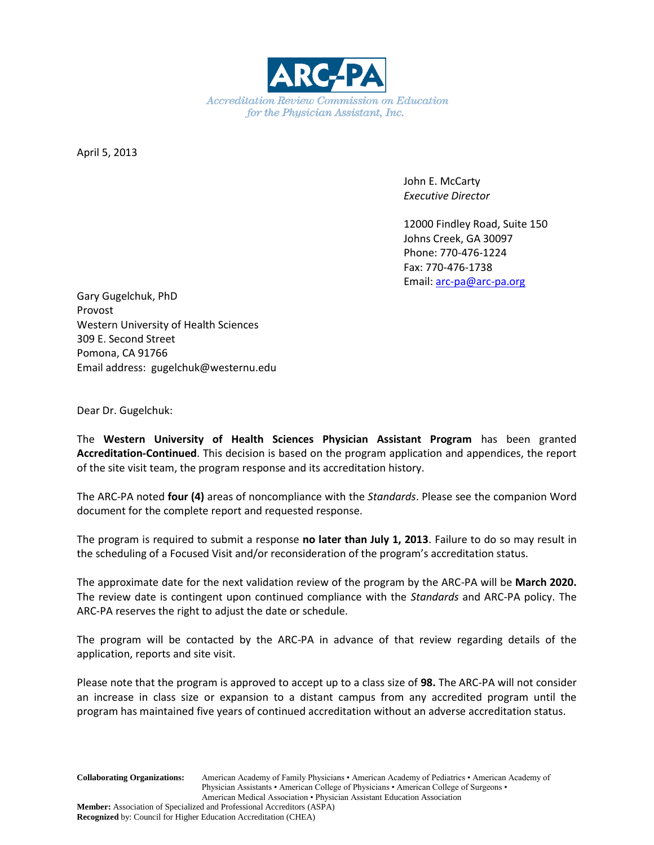

April 5, 2013

John E. McCarty *Executive Director*

12000 Findley Road, Suite 150 Johns Creek, GA 30097 Phone: 770-476-1224 Fax: 770-476-1738 Email: [arc-pa@arc-pa.org](mailto:arc-pa@arc-pa.org)

Gary Gugelchuk, PhD Provost Western University of Health Sciences 309 E. Second Street Pomona, CA 91766 Email address: gugelchuk@westernu.edu

Dear Dr. Gugelchuk:

The **Western University of Health Sciences Physician Assistant Program** has been granted **Accreditation-Continued**. This decision is based on the program application and appendices, the report of the site visit team, the program response and its accreditation history.

The ARC-PA noted **four (4)** areas of noncompliance with the *Standards*. Please see the companion Word document for the complete report and requested response.

The program is required to submit a response **no later than July 1, 2013**. Failure to do so may result in the scheduling of a Focused Visit and/or reconsideration of the program's accreditation status.

The approximate date for the next validation review of the program by the ARC-PA will be **March 2020.** The review date is contingent upon continued compliance with the *Standards* and ARC-PA policy. The ARC-PA reserves the right to adjust the date or schedule.

The program will be contacted by the ARC-PA in advance of that review regarding details of the application, reports and site visit.

Please note that the program is approved to accept up to a class size of **98.** The ARC-PA will not consider an increase in class size or expansion to a distant campus from any accredited program until the program has maintained five years of continued accreditation without an adverse accreditation status.